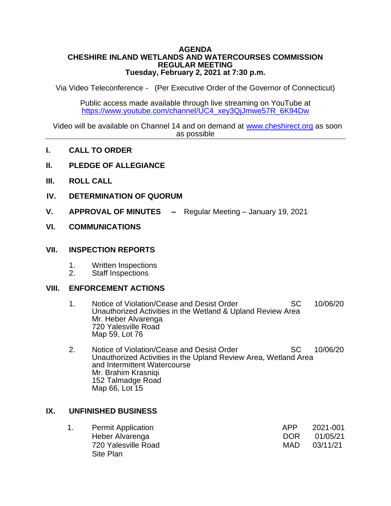#### **AGENDA CHESHIRE INLAND WETLANDS AND WATERCOURSES COMMISSION REGULAR MEETING Tuesday, February 2, 2021 at 7:30 p.m.**

Via Video Teleconference - (Per Executive Order of the Governor of Connecticut)

Public access made available through live streaming on YouTube at [https://www.youtube.com/channel/UC4\\_xey3QjJmwe57R\\_6K94Dw](https://www.youtube.com/channel/UC4_xey3QjJmwe57R_6K94Dw)

 Video will be available on Channel 14 and on demand at [www.cheshirect.org](http://www.cheshirect.org/) as soon as possible

- **I. CALL TO ORDER**
- **II. PLEDGE OF ALLEGIANCE**
- **III. ROLL CALL**
- **IV. DETERMINATION OF QUORUM**
- **V. APPROVAL OF MINUTES –** Regular Meeting January 19, 2021

### **VI. COMMUNICATIONS**

### **VII. INSPECTION REPORTS**

- 1. Written Inspections<br>2. Staff Inspections
- Staff Inspections

### **VIII. ENFORCEMENT ACTIONS**

- 1. Notice of Violation/Cease and Desist Order SC 10/06/20 Unauthorized Activities in the Wetland & Upland Review Area Mr. Heber Alvarenga 720 Yalesville Road Map 59, Lot 76
- 2. Notice of Violation/Cease and Desist Order SC 10/06/20 Unauthorized Activities in the Upland Review Area, Wetland Area and Intermittent Watercourse Mr. Brahim Krasniqi 152 Talmadge Road Map 66, Lot 15

## **IX. UNFINISHED BUSINESS**

| <b>Permit Application</b> | APP  | 2021-001 |
|---------------------------|------|----------|
| Heber Alvarenga           | DOR. | 01/05/21 |
| 720 Yalesville Road       | MAD. | 03/11/21 |
| Site Plan                 |      |          |